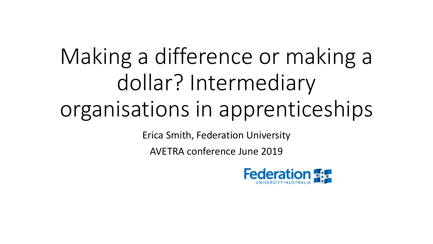# Making a difference or making a dollar? Intermediary organisations in apprenticeships

Erica Smith, Federation University

AVETRA conference June 2019

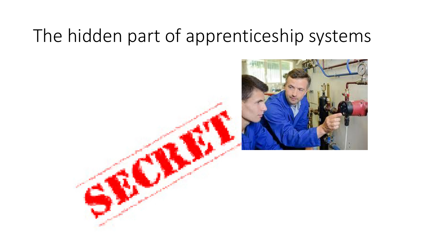### The hidden part of apprenticeship systems

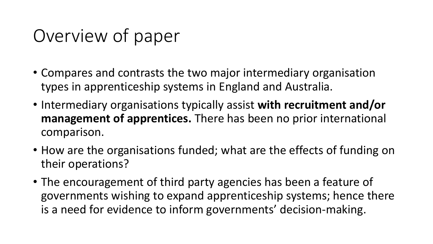### Overview of paper

- Compares and contrasts the two major intermediary organisation types in apprenticeship systems in England and Australia.
- Intermediary organisations typically assist **with recruitment and/or management of apprentices.** There has been no prior international comparison.
- How are the organisations funded; what are the effects of funding on their operations?
- The encouragement of third party agencies has been a feature of governments wishing to expand apprenticeship systems; hence there is a need for evidence to inform governments' decision-making.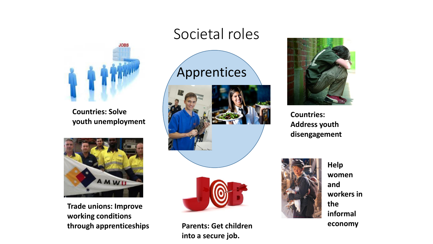

**Countries: Solve youth unemployment**



**Trade unions: Improve working conditions through apprenticeships**

#### Societal roles

### Apprentices





**Parents: Get children into a secure job.**



**Countries: Address youth disengagement**



**Help women and workers in the informal economy**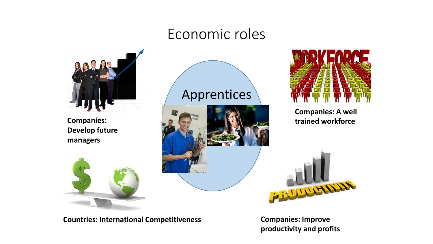### Economic roles



**Companies: Develop future managers**



### Apprentices





**Companies: A well trained workforce**



**Countries: International Competitiveness**

**Companies: Improve productivity and profits**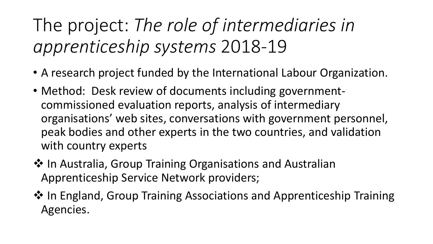The project: *The role of intermediaries in apprenticeship systems* 2018-19

- A research project funded by the International Labour Organization.
- Method: Desk review of documents including governmentcommissioned evaluation reports, analysis of intermediary organisations' web sites, conversations with government personnel, peak bodies and other experts in the two countries, and validation with country experts
- ❖ In Australia, Group Training Organisations and Australian Apprenticeship Service Network providers;
- ❖ In England, Group Training Associations and Apprenticeship Training Agencies.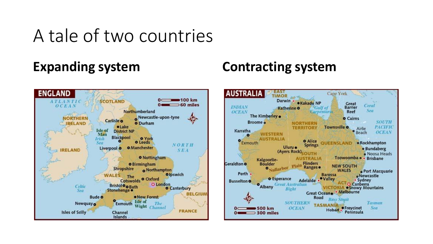### A tale of two countries



#### **Expanding system Contracting system**

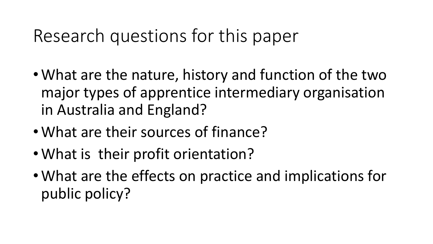### Research questions for this paper

- What are the nature, history and function of the two major types of apprentice intermediary organisation in Australia and England?
- What are their sources of finance?
- What is their profit orientation?
- What are the effects on practice and implications for public policy?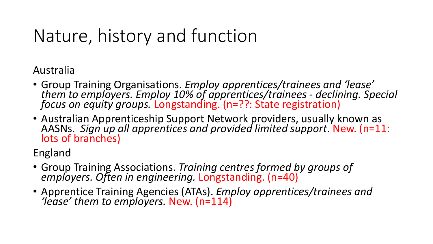## Nature, history and function

Australia

- Group Training Organisations. *Employ apprentices/trainees and 'lease' them to employers. Employ 10% of apprentices/trainees - declining. Special focus on equity groups.* Longstanding. (n=??: State registration)
- Australian Apprenticeship Support Network providers, usually known as AASNs. *Sign up all apprentices and provided limited support*. New. (n=11: lots of branches)

England

- Group Training Associations. *Training centres formed by groups of employers. Often in engineering.* Longstanding. (n=40)
- Apprentice Training Agencies (ATAs). *Employ apprentices/trainees and 'lease' them to employers.* New. (n=114)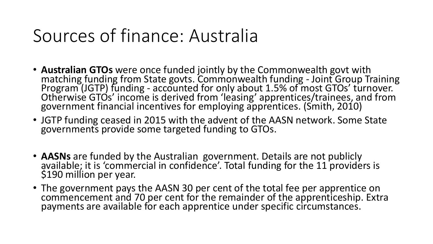### Sources of finance: Australia

- **Australian GTOs** were once funded jointly by the Commonwealth govt with matching funding from State govts. Commonwealth funding - Joint Group Training Program (JGTP) funding - accounted for only about 1.5% of most GTOs' turnover. Otherwise GTOs' income is derived from 'leasing' apprentices/trainees, and from government financial incentives for employing apprentices. (Smith, 2010)
- JGTP funding ceased in 2015 with the advent of the AASN network. Some State governments provide some targeted funding to GTOs.
- **AASNs** are funded by the Australian government. Details are not publicly available; it is 'commercial in confidence'. Total funding for the 11 providers is \$190 million per year.
- The government pays the AASN 30 per cent of the total fee per apprentice on commencement and 70 per cent for the remainder of the apprenticeship. Extra payments are available for each apprentice under specific circumstances.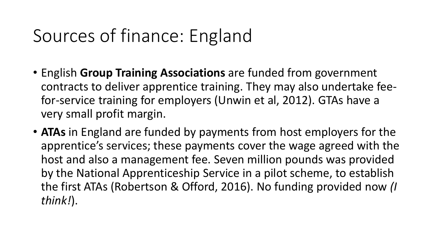### Sources of finance: England

- English **Group Training Associations** are funded from government contracts to deliver apprentice training. They may also undertake feefor-service training for employers (Unwin et al, 2012). GTAs have a very small profit margin.
- **ATAs** in England are funded by payments from host employers for the apprentice's services; these payments cover the wage agreed with the host and also a management fee. Seven million pounds was provided by the National Apprenticeship Service in a pilot scheme, to establish the first ATAs (Robertson & Offord, 2016). No funding provided now *(I think!*).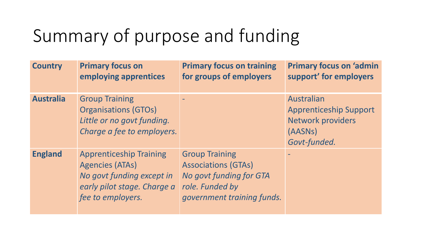## Summary of purpose and funding

| <b>Country</b>   | <b>Primary focus on</b><br>employing apprentices                                                                                          | <b>Primary focus on training</b><br>for groups of employers                                                                     | <b>Primary focus on 'admin</b><br>support' for employers                                           |
|------------------|-------------------------------------------------------------------------------------------------------------------------------------------|---------------------------------------------------------------------------------------------------------------------------------|----------------------------------------------------------------------------------------------------|
| <b>Australia</b> | <b>Group Training</b><br><b>Organisations (GTOs)</b><br>Little or no govt funding.<br>Charge a fee to employers.                          |                                                                                                                                 | Australian<br><b>Apprenticeship Support</b><br><b>Network providers</b><br>(AASNs)<br>Govt-funded. |
| <b>England</b>   | <b>Apprenticeship Training</b><br><b>Agencies (ATAs)</b><br>No govt funding except in<br>early pilot stage. Charge a<br>fee to employers. | <b>Group Training</b><br><b>Associations (GTAs)</b><br>No govt funding for GTA<br>role. Funded by<br>government training funds. |                                                                                                    |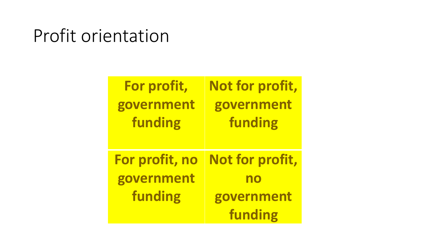### Profit orientation

| For profit,    | Not for profit, |
|----------------|-----------------|
| government     | government      |
| funding        | funding         |
|                |                 |
|                |                 |
| For profit, no | Not for profit, |
| government     | no              |
| funding        | government      |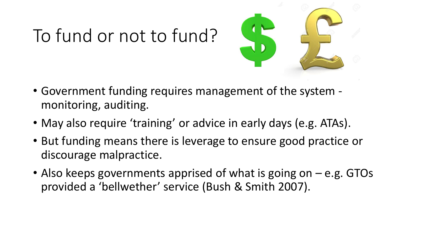# To fund or not to fund?



- Government funding requires management of the system monitoring, auditing.
- May also require 'training' or advice in early days (e.g. ATAs).
- But funding means there is leverage to ensure good practice or discourage malpractice.
- Also keeps governments apprised of what is going on e.g. GTOs provided a 'bellwether' service (Bush & Smith 2007).